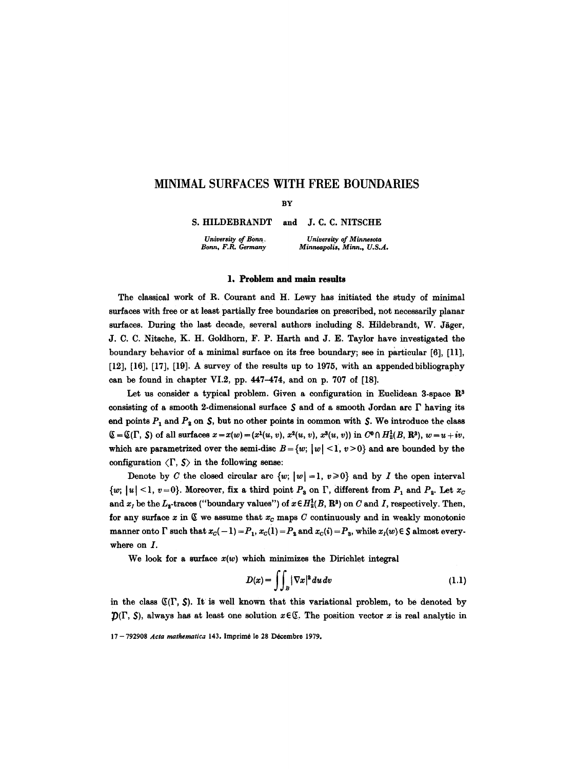# **MINIMAL SURFACES WITH FREE BOUNDARIES**

**BY** 

S. HILDEBRANDT *University of Bonn,*  and J.C.C. NITSCHE

*Bonn, F.R. Germany* 

*University of Minnesota Minneapolis, Minn., U.S.A.* 

#### l, **Problem and** main results

The classical work of R. Courant and H. Lewy has initiated the study of minimal surfaces with free or at least partially free boundaries on prescribed, not necessarily planar surfaces. During the last decade, several authors including S. Hildebrandt, W. Jäger, J. C. C. Nitsche, K. H. Goldhorn, F. P. Harth and J. E. Taylor have investigated the boundary behavior of a minimal surface on its free boundary; see in particular [6], [11], [12], [16], [17], [19]. A survey of the results up to 1975, with an appended bibliography can be found in chapter VI.2, pp. 447-474, and on p. 707 of [18].

Let us consider a typical problem. Given a configuration in Euclidean 3-space  $\mathbb{R}^3$ consisting of a smooth 2-dimensional surface  $S$  and of a smooth Jordan arc  $\Gamma$  having its end points  $P_1$  and  $P_2$  on  $S$ , but no other points in common with  $S$ . We introduce the class  $\mathcal{L} = \mathcal{L}(\Gamma, S)$  of all surfaces  $x = x(w) = (x^1(u, v), x^2(u, v), x^3(u, v))$  in  $C^0 \cap H^1_2(B, \mathbb{R}^3), w = u + iv$ , which are parametrized over the semi-disc  $B = \{w; |w| \le 1, v > 0\}$  and are bounded by the configuration  $\langle \Gamma, \mathcal{S} \rangle$  in the following sense:

Denote by C the closed circular arc  $\{w; |w| = 1, v \ge 0\}$  and by I the open interval  $\{w; |u| < 1, v = 0\}$ . Moreover, fix a third point  $P_3$  on  $\Gamma$ , different from  $P_1$  and  $P_2$ . Let  $x_c$ and  $x_l$  be the  $L_2$ -traces ("boundary values") of  $x \in H_2^1(B, \mathbb{R}^3)$  on C and I, respectively. Then, for any surface x in  $\mathfrak C$  we assume that  $x_c$  maps C continuously and in weakly monotonic manner onto  $\Gamma$  such that  $x_C(-1) = P_1$ ,  $x_C(1) = P_2$  and  $x_C(i) = P_3$ , while  $x_I(w) \in \mathcal{S}$  almost everywhere on  $I$ .

We look for a surface  $x(w)$  which minimizes the Dirichlet integral

$$
D(x) = \iint_B |\nabla x|^2 du dv \qquad (1.1)
$$

in the class  $(\mathbb{C}(\Gamma, S))$ . It is well known that this variational problem, to be denoted by  $\mathcal{D}(\Gamma, S)$ , always has at least one solution  $x \in \mathbb{C}$ . The position vector x is real analytic in

<sup>17- 792908</sup> *Acta mathematica* 143. Imprimé le 28 Décembre 1979.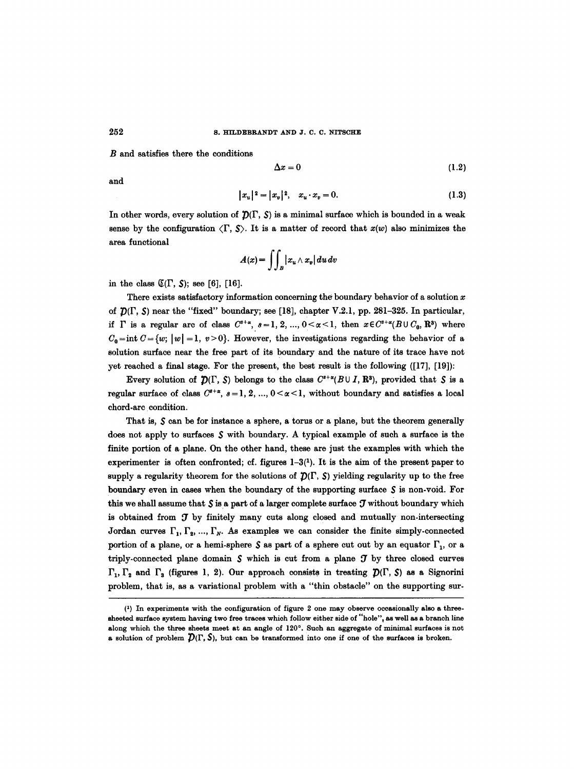## 252 **s. HILDEBRANDT AND J. C. C. NITSCHE**

B and satisfies there the conditions

$$
\Delta x = 0 \tag{1.2}
$$

and

$$
|x_u|^2 = |x_v|^2, \quad x_u \cdot x_v = 0. \tag{1.3}
$$

In other words, every solution of  $\mathcal{D}(\Gamma, S)$  is a minimal surface which is bounded in a weak sense by the configuration  $\langle \Gamma, \mathcal{S} \rangle$ . It is a matter of record that  $x(w)$  also minimizes the area functional

$$
A(x) = \int\!\!\int_B |x_u \wedge x_v| \, du \, dv
$$

in the class  $\mathfrak{C}(\Gamma, S)$ ; see [6], [16].

There exists satisfactory information concerning the boundary behavior of a solution  $x$ of  $D(\Gamma, S)$  near the "fixed" boundary; see [18], chapter V.2.1, pp. 281-325. In particular, if  $\Gamma$  is a regular arc of class  $C^{s+\alpha}$ ,  $s=1, 2, ..., 0<\alpha<1$ , then  $x \in C^{s+\alpha}(B \cup C_0, \mathbb{R}^3)$  where  $C_0 = \text{int } C = \{w; |w| = 1, v > 0\}.$  However, the investigations regarding the behavior of a solution surface near the free part of its boundary and the nature of its trace have not yet reached a final stage. For the present, the best result is the following ([17], [19]):

Every solution of  $\mathcal{D}(\Gamma, S)$  belongs to the class  $C^{s+\alpha}(B \cup I, \mathbb{R}^3)$ , provided that S is a regular surface of class  $C^{s+\alpha}$ ,  $s=1, 2, ..., 0<\alpha<1$ , without boundary and satisfies a local chord-arc condition.

That is,  $S$  can be for instance a sphere, a torus or a plane, but the theorem generally does not apply to surfaces  $\mathcal S$  with boundary. A typical example of such a surface is the finite portion of a plane. On the other hand, these are just the examples with which the experimenter is often confronted; cf. figures  $1-3(1)$ . It is the aim of the present paper to supply a regularity theorem for the solutions of  $\mathcal{D}(\Gamma, S)$  yielding regularity up to the free boundary even in cases when the boundary of the supporting surface  $S$  is non-void. For this we shall assume that  $S$  is a part of a larger complete surface  $J$  without boundary which is obtained from  $J$  by finitely many cuts along closed and mutually non-intersecting Jordan curves  $\Gamma_1, \Gamma_2, \ldots, \Gamma_N$ . As examples we can consider the finite simply-connected portion of a plane, or a hemi-sphere  $S$  as part of a sphere cut out by an equator  $\Gamma_1$ , or a triply-connected plane domain  $\mathcal S$  which is cut from a plane  $\mathcal T$  by three closed curves  $\Gamma_1, \Gamma_2$  and  $\Gamma_3$  (figures 1, 2). Our approach consists in treating  $\mathcal{D}(\Gamma, \mathcal{S})$  as a Signorini problem, that is, as a variational problem with a "thin obstacle" on the supporting sur-

<sup>(1)</sup> In experiments with the configuration of figure 2 one may observe occasionally also a threesheeted surface system having two free traces which follow either side of "hole", as well as a branch line along which the three sheets meet at an angle of  $120^\circ$ . Such an aggregate of minimal surfaces is not a solution of problem  $\mathcal{D}(\Gamma, \mathcal{S})$ , but can be transformed into one if one of the surfaces is broken.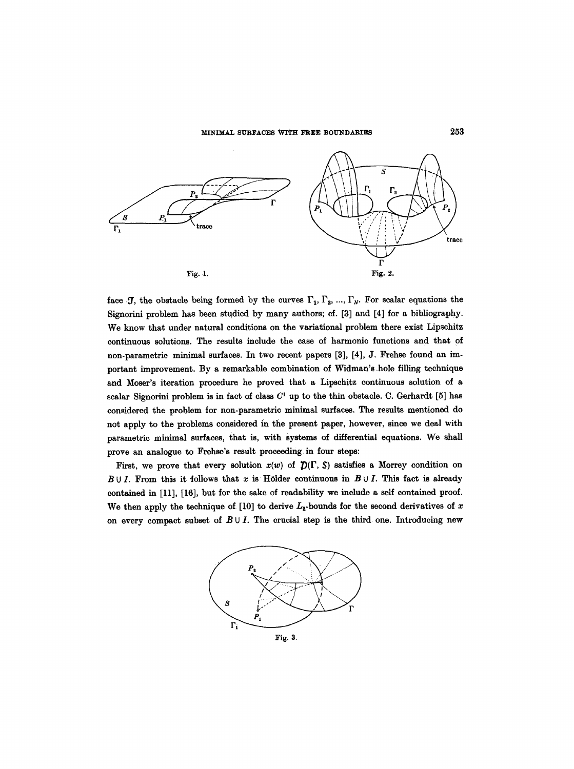

face J, the obstacle being formed by the curves  $\Gamma_1, \Gamma_2, ..., \Gamma_N$ . For scalar equations the Signorini problem has been studied by many authors; cf. [3] and [4] for a bibliography. We know that under natural conditions on the variational problem there exist Lipschitz continuous solutions. The results include the case of harmonic functions and that of non-parametric minimal surfaces. In two recent papers [3], [4], J. Frehse found an important improvement. By a remarkable combination of Widman's .hole filling technique and Moser's iteration procedure he proved that a Lipschitz continuous solution of a scalar Signorini problem is in fact of class  $C<sup>1</sup>$  up to the thin obstacle. C. Gerhardt [5] has considered the problem for non-parametric minimal surfaces. The results mentioned do not apply to the problems considered in the present paper, however, since we deal with parametric minimal surfaces, that is, with systems of differential equations. We shall prove an analogue to Frehse's result proceeding in four steps:

First, we prove that every solution  $x(w)$  of  $\mathcal{D}(\Gamma, S)$  satisfies a Morrey condition on  $B \cup I$ . From this it follows that x is Hölder continuous in  $B \cup I$ . This fact is already contained in [11], [16], but for the sake of readability we include a self contained proof. We then apply the technique of [10] to derive  $L_2$ -bounds for the second derivatives of x on every compact subset of  $B \cup I$ . The crucial step is the third one. Introducing new

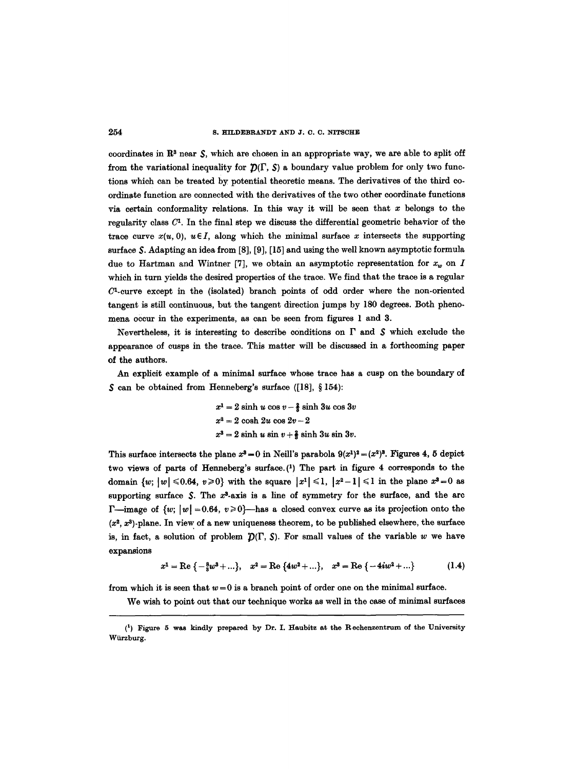#### 254 S, HILDEBRANDT AND J. C. C. NITSCHE

coordinates in  $\mathbb{R}^3$  near  $\mathcal{S}$ , which are chosen in an appropriate way, we are able to split off from the variational inequality for  $\mathcal{D}(\Gamma, S)$  a boundary value problem for only two functions which can be treated by potential theoretic means. The derivatives of the third coordinate function are connected with the derivatives of the two other coordinate functions via certain conformality relations. In this way it will be seen that  $x$  belongs to the regularity class  $C<sup>1</sup>$ . In the final step we discuss the differential geometric behavior of the trace curve  $x(u, 0)$ ,  $u \in I$ , along which the minimal surface x intersects the supporting surface \$. Adapting an idea from [8], [9], [15] and using the well known asymptotic formula due to Hartman and Wintner [7], we obtain an asymptotic representation for  $x<sub>w</sub>$  on I which in turn yields the desired properties of the trace. We find that the trace is a regular  $C<sup>1</sup>$ -curve except in the (isolated) branch points of odd order where the non-oriented tangent is still continuous, but the tangent direction jumps by 180 degrees. Both phenomena occur in the experiments, as can be seen from figures 1 and 3.

Nevertheless, it is interesting to describe conditions on  $\Gamma$  and  $\mathcal S$  which exclude the appearance of cusps in the trace. This matter will be discussed in a forthcoming paper of the authors.

An explicit example of a minimal surface whose trace has a cusp on the boundary of  $S$  can be obtained from Henneberg's surface ([18], § 154):

> $x^1 = 2 \sinh u \cos v - \frac{2}{3} \sinh 3u \cos 3v$  $x^2 = 2 \cosh 2u \cos 2v - 2$  $x^3 = 2 \sinh u \sin v + \frac{2}{3} \sinh 3u \sin 3v.$

This surface intersects the plane  $x^3 = 0$  in Neill's parabola  $9(x^1)^2 = (x^2)^3$ . Figures 4, 5 depict two views of parts of Henneberg's surface.(1) The part in figure 4 corresponds to the domain  $\{w; |w| \le 0.64, v \ge 0\}$  with the square  $|x^1| \le 1, |x^2-1| \le 1$  in the plane  $x^3=0$  as supporting surface  $\mathcal{S}$ . The  $x^3$ -axis is a line of symmetry for the surface, and the arc **F**—image of  $\{w; |w| = 0.64, v \ge 0\}$ —has a closed convex curve as its projection onto the  $(x<sup>2</sup>, x<sup>3</sup>)$ -plane. In view of a new uniqueness theorem, to be published elsewhere, the surface is, in fact, a solution of problem  $D(\Gamma, S)$ . For small values of the variable w we have expansions

$$
x^{1} = \text{Re}\left\{-\frac{8}{3}w^{3} + \ldots\right\}, \quad x^{2} = \text{Re}\left\{4w^{2} + \ldots\right\}, \quad x^{3} = \text{Re}\left\{-4iw^{2} + \ldots\right\} \tag{1.4}
$$

from which it is seen that  $w = 0$  is a branch point of order one on the minimal surface.

We wish to point out that our technique works as well in the case of minimal surfaces

<sup>(1)</sup> Figure 5 was kindly prepared by Dr. I. Haubitz at the Rechenzentrum of the University Würzburg.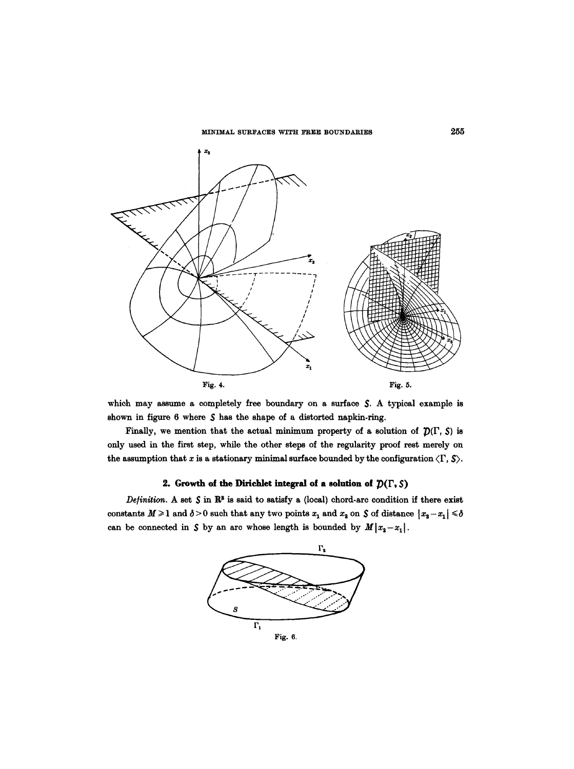

which may assume a completely free boundary on a surface  $S$ . A typical example is shown in figure  $6$  where  $S$  has the shape of a distorted napkin-ring.

Finally, we mention that the actual minimum property of a solution of  $\mathcal{D}(\Gamma, S)$  is only used in the first step, while the other steps of the regularity proof rest merely on the assumption that x is a stationary minimal surface bounded by the configuration  $\langle \Gamma, \mathcal{S} \rangle$ .

# **2.** Growth of the Dirichlet integral of a solution of  $\mathcal{D}(\Gamma, \mathcal{S})$

*Definition.* A set  $S$  in  $\mathbb{R}^3$  is said to satisfy a (local) chord-arc condition if there exist constants  $M \geq 1$  and  $\delta > 0$  such that any two points  $x_1$  and  $x_2$  on  $S$  of distance  $|x_2 - x_1| \leq \delta$ can be connected in  $S$  by an arc whose length is bounded by  $M|x_2-x_1|$ .

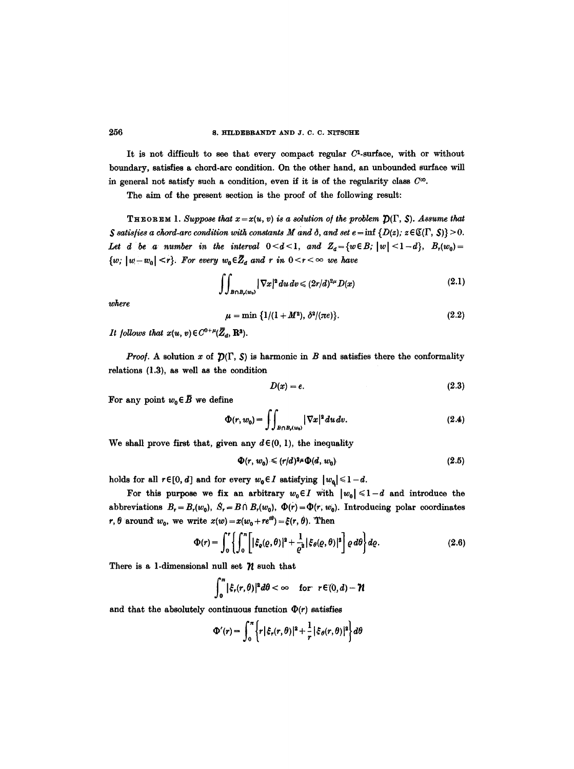It is not difficult to see that every compact regular  $C<sup>1</sup>$ -surface, with or without boundary, satisfies a chord-arc condition. On the other hand, an unbounded surface will in general not satisfy such a condition, even if it is of the regularity class  $C^{\infty}$ .

The aim of the present section is the proof of the following result:

**THEOREM** 1. Suppose that  $x = x(u, v)$  is a solution of the problem  $\mathcal{D}(\Gamma, \mathcal{S})$ . Assume that *<i>\$* satisfies a chord-arc condition with constants M and  $\delta$ , and set  $e = \inf \{D(z); z \in \mathbb{C}(\Gamma, S)\} > 0$ . *Let d be a number in the interval*  $0 < d < 1$ , *and*  $Z_d = \{w \in B; |w| < 1 - d\}$ ,  $B_r(w_0) =$  $\{w, |w-w_0| \leq r\}$ . For every  $w_0 \in \overline{Z}_d$  and r in  $0 \leq r \leq \infty$  we have

$$
\iint_{B\cap B_r(w_0)} |\nabla x|^2 du dv \le (2r/d)^{2\mu} D(x) \tag{2.1}
$$

*where* 

$$
\mu = \min \{1/(1+M^2), \, \delta^2/(\pi e)\}.
$$
 (2.2)

*It follows that*  $x(u, v) \in C^{0+\mu}(\overline{Z}_d, \mathbb{R}^3)$ .

*Proof.* A solution x of  $\mathcal{D}(\Gamma, S)$  is harmonic in B and satisfies there the conformality relations (1.3), as well as the condition

$$
D(x) = e. \tag{2.3}
$$

For any point  $w_0 \in \overline{B}$  we define

$$
\Phi(r, w_0) = \iint_{B \cap B_r(w_0)} |\nabla x|^2 du dv. \tag{2.4}
$$

We shall prove first that, given any  $d \in (0, 1)$ , the inequality

$$
\Phi(r, w_0) \leqslant (r/d)^{2\mu} \Phi(d, w_0) \tag{2.5}
$$

holds for all  $r \in [0, d]$  and for every  $w_0 \in I$  satisfying  $|w_0| \leq 1-d$ .

For this purpose we fix an arbitrary  $w_0 \in I$  with  $|w_0| \leq 1-d$  and introduce the abbreviations  $B_r = B_r(w_0)$ ,  $\dot{S}_r = B \cap B_r(w_0)$ ,  $\Phi(r) = \Phi(r, w_0)$ . Introducing polar coordinates r,  $\theta$  around  $w_0$ , we write  $x(w) = x(w_0 + re^{i\theta}) = \xi(r, \theta)$ . Then

$$
\Phi(r) = \int_0^r \left\{ \int_0^{\pi} \left[ |\xi_{\varrho}(\varrho, \theta)|^2 + \frac{1}{\varrho^2} |\xi_{\theta}(\varrho, \theta)|^2 \right] \varrho \, d\theta \right\} d\varrho. \tag{2.6}
$$

There is a 1-dimensional null set  $\mathcal N$  such that

$$
\int_0^{\pi} |\xi_r(r,\theta)|^2 d\theta < \infty \quad \text{for} \quad r \in (0,d) - \mathcal{H}
$$

and that the absolutely continuous function  $\Phi(r)$  satisfies

$$
\Phi'(r) = \int_0^{\pi} \left\{ r \, |\xi_r(r,\theta)|^2 + \frac{1}{r} \, |\xi_\theta(r,\theta)|^2 \right\} d\theta
$$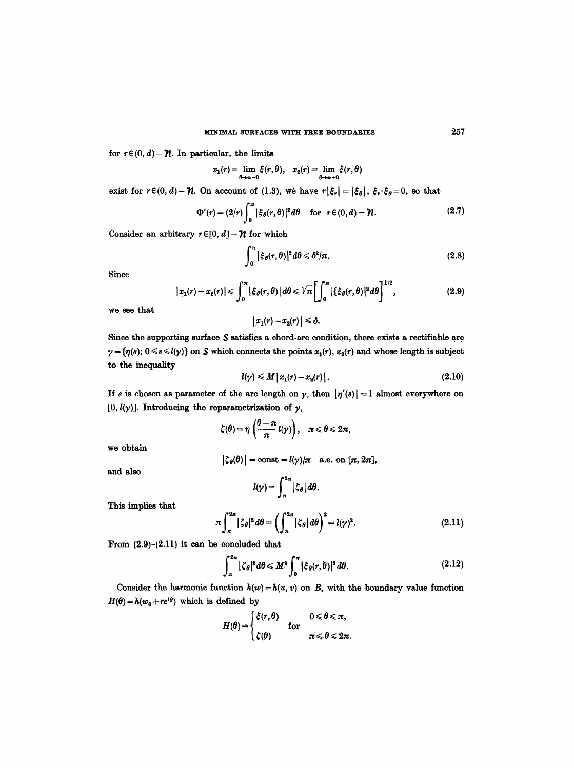for  $r \in (0, d) - \mathcal{U}$ . In particular, the limits

$$
x_1(r) = \lim_{\theta \to n-0} \xi(r,\theta), \quad x_2(r) = \lim_{\theta \to n+0} \xi(r,\theta)
$$

exist for  $r \in (0, d) - \mathcal{U}$ . On account of (1.3), we have  $r |\xi_r| = |\xi_\theta|$ ,  $\xi_r \cdot \xi_\theta = 0$ , so that

$$
\Phi'(r) = (2/r) \int_0^{\pi} |\xi_{\theta}(r,\theta)|^2 d\theta \quad \text{for} \ \ r \in (0,d) - \mathcal{H}.
$$
 (2.7)

Consider an arbitrary  $r \in [0, d] - \mathcal{H}$  for which

$$
\int_0^\pi |\xi_{\theta}(r,\theta)|^2 d\theta \leq \delta^2/\pi. \tag{2.8}
$$

Since

$$
|x_1(r)-x_2(r)| \leqslant \int_0^{\pi} |\xi_{\theta}(r,\theta)| d\theta \leqslant \sqrt{\pi} \left[ \int_0^{\pi} |\{\xi_{\theta}(r,\theta)|^2 d\theta \right]^{1/2}, \qquad (2.9)
$$

we see that

$$
|x_1(r)-x_2(r)|\leq \delta.
$$

Since the supporting surface  $S$  satisfies a chord-arc condition, there exists a rectifiable arc  $\gamma = {\eta(s); 0 \le s \le l(\gamma)}$  on  $\mathcal S$  which connects the points  $x_1(r), x_2(r)$  and whose length is subject to the inequality

$$
l(\gamma) \leqslant M \left| x_1(r) - x_2(r) \right|.
$$
 (2.10)

If s is chosen as parameter of the arc length on  $\gamma$ , then  $|\eta'(s)| = 1$  almost everywhere on  $[0, l(\gamma)]$ . Introducing the reparametrization of  $\gamma$ ,

$$
\zeta(\theta)=\eta\left(\frac{\theta-\pi}{\pi}l(\gamma)\right), \quad \pi\leq \theta\leq 2\pi,
$$

we obtain

$$
|\zeta_{\theta}(\theta)| = \text{const} = l(\gamma)/\pi \quad \text{a.e. on } [\pi, 2\pi],
$$

and also 
$$
l(\gamma) = \int_{\pi}^{2\pi} |\zeta_{\theta}| d\theta.
$$

This implies that

$$
\pi \int_{\pi}^{2\pi} |\zeta_{\theta}|^2 d\theta = \left( \int_{\pi}^{2\pi} |\zeta_{\theta}| d\theta \right)^2 = l(\gamma)^2.
$$
 (2.11)

From  $(2.9)-(2.11)$  it can be concluded that

$$
\int_{\pi}^{2\pi} |\zeta_{\theta}|^2 d\theta \leqslant M^2 \int_{0}^{\pi} |\xi_{\theta}(r,\theta)|^2 d\theta. \tag{2.12}
$$

Consider the harmonic function  $h(w) = h(u, v)$  on B<sub>r</sub> with the boundary value function  $H(\theta) = h(w_0 + re^{i\theta})$  which is defined by

$$
H(\theta) = \begin{cases} \xi(r,\theta) & 0 \leq \theta \leq \pi, \\ \zeta(\theta) & \pi \leq \theta \leq 2\pi. \end{cases}
$$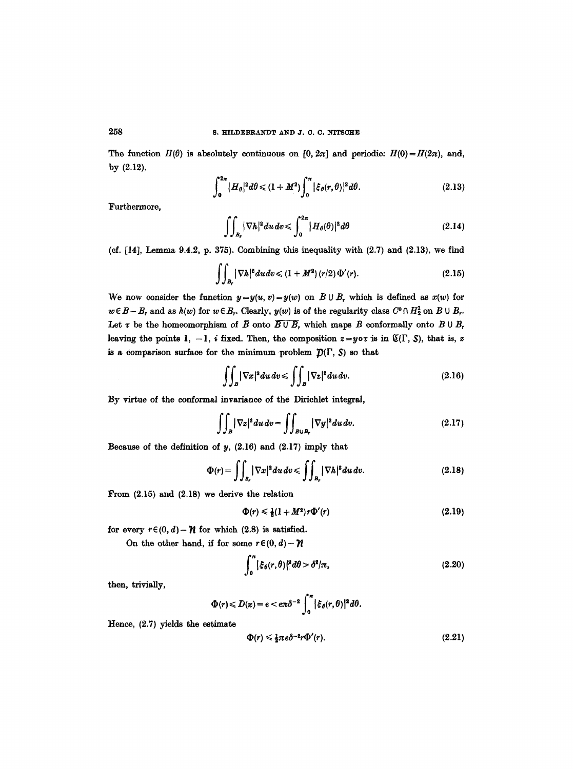The function  $H(\theta)$  is absolutely continuous on  $[0, 2\pi]$  and periodio:  $H(0) = H(2\pi)$ , and, by (2.12),

$$
\int_0^{2\pi} |H_\theta|^2 d\theta \le (1+M^2) \int_0^{\pi} |\xi_\theta(r,\theta)|^2 d\theta. \tag{2.13}
$$

Furthermore,

$$
\iint_{B_r} |\nabla h|^2 du dv \leqslant \int_0^{2\pi} |H_\theta(\theta)|^2 d\theta \qquad (2.14)
$$

(cf.  $[14]$ , Lemma 9.4.2, p. 375). Combining this inequality with  $(2.7)$  and  $(2.13)$ , we find

$$
\iint_{B_r} |\nabla h|^2 du dv \le (1 + M^2) (r/2) \Phi'(r).
$$
 (2.15)

We now consider the function  $y=y(w, v)=y(w)$  on  $B\cup B$ , which is defined as  $x(w)$  for  $w \in B - B_r$  and as  $h(w)$  for  $w \in B_r$ . Clearly,  $y(w)$  is of the regularity class  $C^0 \cap H_2^1$  on  $B \cup B_r$ . Let  $\tau$  be the homeomorphism of  $\bar{B}$  onto  $\overline{B \cup B_r}$ , which maps B conformally onto  $B \cup B_r$ leaving the points 1, -1, *i* fixed. Then, the composition  $z = y \circ \tau$  is in  $\mathfrak{C}(\Gamma, \mathcal{S})$ , that is, z is a comparison surface for the minimum problem  $\mathcal{D}(\Gamma, S)$  so that

$$
\iint_{B} |\nabla x|^2 du dv \le \iint_{B} |\nabla z|^2 du dv. \tag{2.16}
$$

By virtue of the conformal invariance of the Diriehlet integral,

$$
\iint_{B} |\nabla z|^2 du dv = \iint_{B \cup B_r} |\nabla y|^2 du dv. \qquad (2.17)
$$

Because of the definition of  $y$ ,  $(2.16)$  and  $(2.17)$  imply that

$$
\Phi(r) = \iint_{S_r} |\nabla x|^2 du dv \le \iint_{B_r} |\nabla h|^2 du dv. \tag{2.18}
$$

From (2.15) and (2.18) we derive the relation

$$
\Phi(r) \leq \frac{1}{2}(1+M^2)r\Phi'(r) \qquad (2.19)
$$

for every  $r \in (0, d) - \mathcal{H}$  for which (2.8) is satisfied.

On the other hand, if for some  $r \in (0, d) - \mathcal{U}$ 

$$
\int_0^\pi \left| \xi_\theta(r,\theta) \right|^2 d\theta > \delta^2/\pi,\tag{2.20}
$$

then, trivially,

$$
\Phi(r)\leqslant D(x)=e<\epsilon\pi\delta^{-2}\int_0^{\pi}|\xi_{\theta}(r,\theta)|^2 d\theta.
$$

Hence, (2.7) yields the estimate

$$
\Phi(r) \leq \frac{1}{2}\pi e \delta^{-2}r \Phi'(r). \tag{2.21}
$$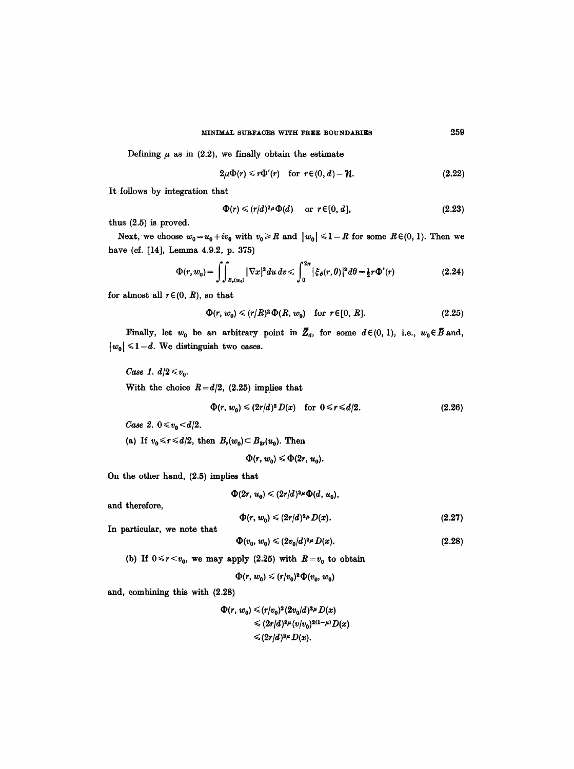Defining  $\mu$  as in (2.2), we finally obtain the estimate

$$
2\mu\Phi(r)\leq r\Phi'(r) \quad \text{for } r\in(0,d)-\mathcal{H}.
$$
 (2.22)

It follows by integration that

$$
\Phi(r) \leqslant (r/d)^{2\mu} \Phi(d) \quad \text{or } r \in [0, d], \tag{2.23}
$$

thus (2.5) is proved.

Next, we choose  $w_0 = u_0 + iv_0$  with  $v_0 \ge R$  and  $|w_0| \le 1 - R$  for some  $R \in (0, 1)$ . Then we have (cf. [14], Lemma 4.9.2, p. 375)

$$
\Phi(r, w_0) = \iint_{B_r(w_0)} |\nabla x|^2 du dv \leqslant \int_0^{2\pi} |\xi_\theta(r, \theta)|^2 d\theta = \tfrac{1}{2} r \Phi'(r) \tag{2.24}
$$

for almost all  $r \in (0, R)$ , so that

$$
\Phi(r, w_0) \leqslant (r/R)^2 \Phi(R, w_0) \quad \text{for } r \in [0, R]. \tag{2.25}
$$

Finally, let  $w_0$  be an arbitrary point in  $\overline{Z}_d$ , for some  $d \in (0, 1)$ , i.e.,  $w_0 \in \overline{B}$  and,  $|w_0| \leq 1 - d$ . We distinguish two cases.

Case 1. 
$$
d/2 \le v_0
$$
.  
With the choice  $R = d/2$ , (2.25) implies that

$$
\Phi(r, w_0) \leqslant (2r/d)^2 D(x) \quad \text{for } 0 \leqslant r \leqslant d/2. \tag{2.26}
$$

*Case 2.*  $0 \le v_0 \le d/2$ .

(a) If  $v_0 \le r \le d/2$ , then  $B_r(w_0) \subset B_{2r}(u_0)$ . Then

 $\Phi(r, w_0) \leq \Phi(2r, u_0)$ .

On the other hand, (2.5) implies that

 $\Phi(2r, u_0) \leqslant (2r/d)^{2\mu} \Phi(d, u_0),$ 

and therefore,

$$
\Phi(r, w_0) \leqslant (2r/d)^{2\mu} D(x). \tag{2.27}
$$

In particular, we note that

$$
\Phi(v_0, w_0) \le (2v_0/d)^{2\mu} D(x). \tag{2.28}
$$

(b) If  $0 \le r \le v_0$ , we may apply (2.25) with  $R=v_0$  to obtain

$$
\Phi(r, w_0) \leqslant (r/v_0)^2 \Phi(v_0, w_0)
$$

and, combining this with (2.28)

$$
\Phi(r, w_0) \leqslant (r/v_0)^2 (2v_0/d)^{2\mu} D(x)
$$
  
\n
$$
\leqslant (2r/d)^{2\mu} (v/v_0)^{2(1-\mu)} D(x)
$$
  
\n
$$
\leqslant (2r/d)^{2\mu} D(x).
$$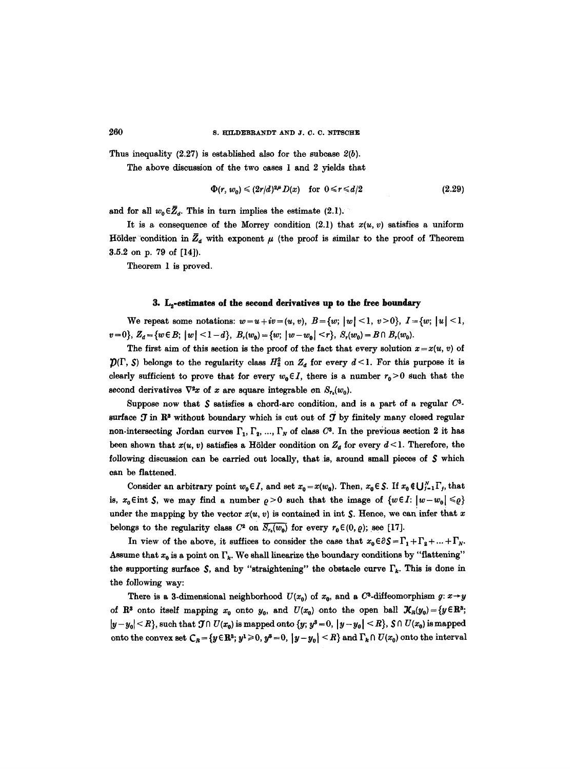Thus inequality (2.27) is established also for the subcase *2(b).* 

The above discussion of the two eases 1 and 2 yields that

$$
\Phi(r, w_0) \leqslant (2r/d)^{2\mu} D(x) \quad \text{for } 0 \leqslant r \leqslant d/2 \tag{2.29}
$$

and for all  $w_0 \in \overline{Z}_d$ . This in turn implies the estimate (2.1).

It is a consequence of the Morrey condition  $(2.1)$  that  $x(u, v)$  satisfies a uniform Hölder condition in  $\bar{Z}_d$  with exponent  $\mu$  (the proof is similar to the proof of Theorem **3.5.2 on p. 79 of [14]).** 

Theorem 1 is proved.

### 3. L<sub>2</sub>-estimates of the second derivatives up to the free boundary

We repeat some notations:  $w=u+iv=(u, v), B=\{w; |w| \leq 1, v>0\}, I=\{w; |u| \leq 1,$  $v=0$ ,  $Z_d = \{w \in B; |w| < 1-d\}, B_r(w_0) = \{w; |w-w_0| < r\}, S_r(w_0) = B \cap B_r(w_0).$ 

The first aim of this section is the proof of the fact that every solution  $x=x(u, v)$  of  $\mathcal{D}(\Gamma, S)$  belongs to the regularity class  $H_2^2$  on  $Z_d$  for every  $d \leq 1$ . For this purpose it is clearly sufficient to prove that for every  $w_0 \in I$ , there is a number  $r_0 > 0$  such that the second derivatives  $\nabla^2 x$  of x are square integrable on  $S_r(w_0)$ .

Suppose now that  $S$  satisfies a chord-arc condition, and is a part of a regular  $C<sup>3</sup>$ surface  $J$  in  $\mathbb{R}^3$  without boundary which is cut out of  $J$  by finitely many closed regular non-intersecting Jordan curves  $\Gamma_1, \Gamma_2, ..., \Gamma_N$  of class  $C^3$ . In the previous section 2 it has been shown that  $x(u, v)$  satisfies a Hölder condition on  $Z_d$  for every  $d \leq 1$ . Therefore, the following discussion can be carried out locally, that is, around small pieces of  $S$  which can be flattened.

Consider an arbitrary point  $w_0 \in I$ , and set  $x_0 = x(w_0)$ . Then,  $x_0 \in S$ . If  $x_0 \notin \bigcup_{i=1}^N \Gamma_i$ , that is,  $x_0 \in \text{int } S$ , we may find a number  $\rho > 0$  such that the image of  $\{w \in I: |w-w_0| \leq \rho\}$ under the mapping by the vector  $x(u, v)$  is contained in int S. Hence, we can infer that x belongs to the regularity class  $C^2$  on  $\overline{S_{r_0}(w_0)}$  for every  $r_0 \in (0, \rho)$ ; see [17].

In view of the above, it suffices to consider the case that  $x_0 \in \partial S = \Gamma_1 + \Gamma_2 + ... + \Gamma_N$ . Assume that  $x_0$  is a point on  $\Gamma_k$ . We shall linearize the boundary conditions by "flattening" the supporting surface  $\mathcal S$ , and by "straightening" the obstacle curve  $\Gamma_k$ . This is done in the following way:

There is a 3-dimensional neighborhood  $U(x_0)$  of  $x_0$ , and a  $C^3$ -diffeomorphism  $g: x \rightarrow y$ of  $\mathbb{R}^3$  onto itself mapping  $x_0$  onto  $y_0$ , and  $U(x_0)$  onto the open ball  $\mathcal{X}_R(y_0)=\{y\in\mathbb{R}^3\}$ ;  $|y-y_0| < R$ , such that  $\mathcal{J} \cap U(x_0)$  is mapped onto  $\{y; y^3 = 0, |y-y_0| < R\}$ ,  $\mathcal{S} \cap U(x_0)$  is mapped onto the convex set  $C_R = \{y \in \mathbb{R}^3\colon y^1 \geq 0, y^3 = 0, |y - y_0| \leq R\}$  and  $\Gamma_k \cap U(x_0)$  onto the interval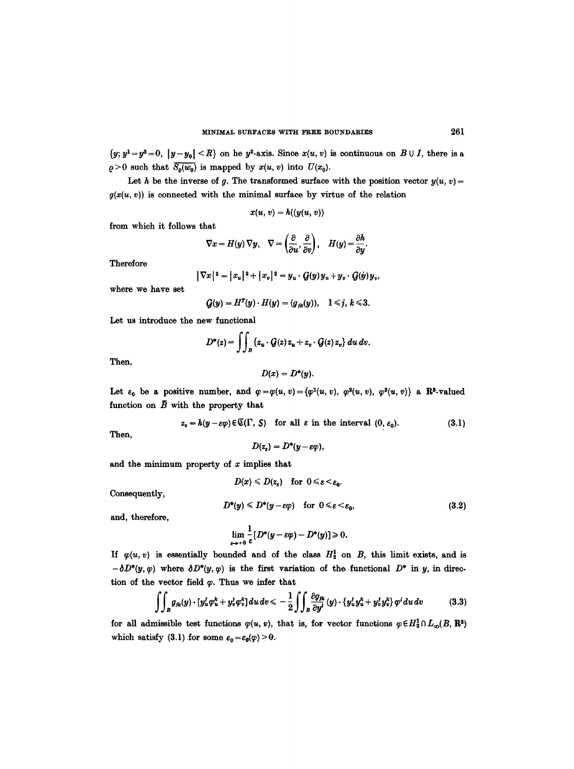$\{y; y^1 = y^3 = 0, |y-y_0| < R\}$  on he y<sup>2</sup>-axis. Since  $x(u, v)$  is continuous on  $B \cup I$ , there is a  $\rho > 0$  such that  $\overline{S_o(w_0)}$  is mapped by  $x(u, v)$  into  $U(x_0)$ .

Let h be the inverse of g. The transformed surface with the position vector  $y(u, v) =$  $g(x(u, v))$  is connected with the minimal surface by virtue of the relation

$$
x(u, v) = h((y(u, v))
$$

from which it follows that

$$
\nabla x = H(y) \nabla y, \quad \nabla = \left(\frac{\partial}{\partial u}, \frac{\partial}{\partial v}\right), \quad H(y) = \frac{\partial h}{\partial y}.
$$

Therefore

$$
|\nabla x|^2 = |x_u|^2 + |x_v|^2 = y_u \cdot G(y) y_u + y_v \cdot G(y) y_v
$$

where we have set

$$
G(y)=H^T(y)\cdot H(y)=(g_{jk}(y)),\quad 1\leq j,\ k\leq 3.
$$

Let us introduce the new functional

$$
D^*(z) = \iint_B \{z_u \cdot \mathcal{G}(z) z_u + z_v \cdot \mathcal{G}(z) z_v\} du dv.
$$

Then,

$$
D(x)=D^*(y).
$$

Let  $\varepsilon_0$  be a positive number, and  $\varphi = \varphi(u, v) = {\varphi^1(u, v), \varphi^2(u, v), \varphi^3(u, v)}$  a R<sup>3</sup>-valued function on  $\bar{B}$  with the property that

$$
z_{\varepsilon} = h(y - \varepsilon \varphi) \in \mathfrak{C}(\Gamma, S) \quad \text{for all } \varepsilon \text{ in the interval } (0, \varepsilon_0). \tag{3.1}
$$

Then,

$$
D(z_{\varepsilon})=D^*(y-\varepsilon\varphi),
$$

and the minimum property of  $x$  implies that

$$
D(x) \leqslant D(z_{\varepsilon}) \quad \text{for} \ \ 0 \leqslant \varepsilon < \varepsilon_0.
$$

Consequently,

$$
D^*(y) \le D^*(y - \varepsilon \varphi) \quad \text{for } 0 \le \varepsilon < \varepsilon_0,
$$
 (3.2)

and, therefore,

$$
\lim_{\varepsilon\to+0}\frac{1}{\varepsilon}[D^*(y-\varepsilon\varphi)-D^*(y)]\geqslant 0.
$$

If  $\varphi(u, v)$  is essentially bounded and of the class  $H_2^1$  on B, this limit exists, and is  $-\delta D^*(y, \varphi)$  where  $\delta D^*(y, \varphi)$  is the first variation of the functional  $D^*$  in y, in direction of the vector field  $\varphi$ . Thus we infer that

$$
\iint_{B} g_{jk}(y) \cdot [y_u^j \varphi_u^k + y_v^j \varphi_v^k] du dv \leq -\frac{1}{2} \iint_{B} \frac{\partial g_{jk}}{\partial y^i}(y) \cdot \{y_u^j y_u^k + y_v^j y_v^k\} \varphi^i du dv \qquad (3.3)
$$

for all admissible test functions  $\varphi(u, v)$ , that is, for vector functions  $\varphi \in H_2^1 \cap L_\infty(B, \mathbb{R}^3)$ which satisfy (3.1) for some  $\varepsilon_0 = \varepsilon_0(\varphi) > 0$ .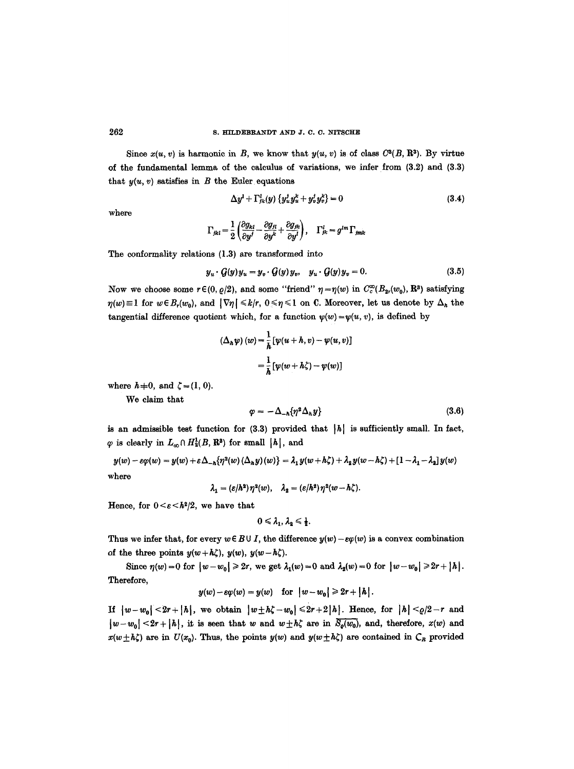Since  $x(u, v)$  is harmonic in B, we know that  $y(u, v)$  is of class  $C^3(B, \mathbb{R}^3)$ . By virtue of the fundamental lemma of the calculus of variations, we infer from (3.2) and (3.3) that  $y(u, v)$  satisfies in  $B$  the Euler equations

$$
\Delta y^{i} + \Gamma^{i}_{jk}(y) \left\{ y^{i}_{u} y^{k}_{u} + y^{j}_{v} y^{k}_{v} \right\} = 0 \tag{3.4}
$$

where

$$
\Gamma_{jkl} = \frac{1}{2} \left( \frac{\partial g_{kl}}{\partial y^j} - \frac{\partial g_{jl}}{\partial y^k} + \frac{\partial g_{jk}}{\partial y^l} \right), \quad \Gamma_{jk}^l = g^{lm} \Gamma_{jmk}
$$

The conformality relations (1.3) are transformed into

$$
y_u \cdot \mathcal{G}(y) y_u = y_v \cdot \mathcal{G}(y) y_v, \quad y_u \cdot \mathcal{G}(y) y_v = 0. \tag{3.5}
$$

Now we choose some  $r \in (0, \rho/2)$ , and some "friend"  $\eta = \eta(w)$  in  $C_c^{\infty}(B_{2r}(w_0), \mathbb{R}^3)$  satisfying  $\eta(w) \equiv 1$  for  $w \in B_r(w_0)$ , and  $|\nabla \eta| \leq k/r$ ,  $0 \leq \eta \leq 1$  on C. Moreover, let us denote by  $\Delta_h$  the tangential difference quotient which, for a function  $\psi(w) = \psi(u, v)$ , is defined by

$$
(\Delta_h \psi) (w) = \frac{1}{h} [\psi(u+h, v) - \psi(u, v)]
$$
  
= 
$$
\frac{1}{h} [\psi(w+h\zeta) - \psi(w)]
$$

where  $h+0$ , and  $\zeta = (1, 0)$ .

We claim that

$$
\varphi = -\Delta_{-h} \{ \eta^2 \Delta_h y \} \tag{3.6}
$$

is an admissible test function for  $(3.3)$  provided that  $|h|$  is sufficiently small. In fact,  $\varphi$  is clearly in  $L_{\infty} \cap H_2^1(B, \mathbb{R}^3)$  for small  $|h|$ , and

$$
y(w) - \varepsilon \varphi(w) = y(w) + \varepsilon \Delta_{-h} \{ \eta^2(w) (\Delta_h y)(w) \} = \lambda_1 y(w + h\zeta) + \lambda_2 y(w - h\zeta) + [1 - \lambda_1 - \lambda_2] y(w)
$$
  
where

 $\lambda_1 = (\varepsilon/h^2)\eta^2(w), \quad \lambda_2 = (\varepsilon/h^2)\eta^2(w-h\zeta).$ 

Hence, for  $0 \leq \varepsilon \leq h^2/2$ , we have that

$$
0\leqslant \lambda_1,\,\lambda_2\leqslant \tfrac{1}{2}.
$$

Thus we infer that, for every  $w \in B \cup I$ , the difference  $y(w) - \varepsilon \varphi(w)$  is a convex combination of the three points  $y(w+h\zeta), y(w), y(w-h\zeta).$ 

Since  $\eta(w)=0$  for  $|w-w_0|\geqslant 2r$ , we get  $\lambda_1(w)=0$  and  $\lambda_2(w)=0$  for  $|w-w_0|\geqslant 2r+|h|$ . Therefore,

$$
y(w) - \varepsilon \varphi(w) = y(w) \quad \text{for} \quad |w - w_0| \geq 2r + |h|.
$$

**If**  $|w-w_0| < 2r+|h|$ , we obtain  $|w \pm h\zeta - w_0| \leq 2r+2|h|$ . Hence, for  $|h| < \rho/2-r$  and  $|w-w_0|$  < 2r + |h|, it is seen that w and  $w \pm h\zeta$  are in  $\overline{S_q(w_0)}$ , and, therefore,  $x(w)$  and  $x(w+h\zeta)$  are in  $U(x_0)$ . Thus, the points  $y(w)$  and  $y(w+h\zeta)$  are contained in  $C_R$  provided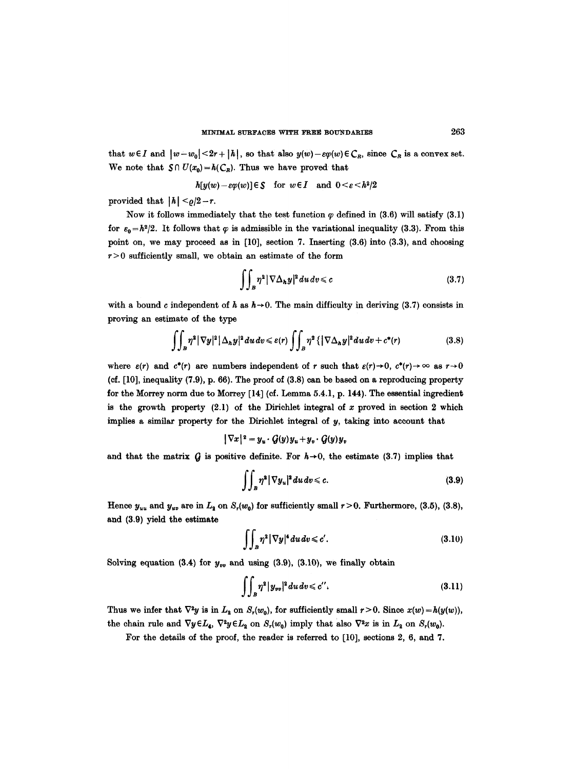that  $w \in I$  and  $|w - w_0| < 2r + |h|$ , so that also  $y(w) - \varepsilon \varphi(w) \in C_R$ , since  $C_R$  is a convex set. We note that  $S \cap U(x_0) = h(C_R)$ . Thus we have proved that

$$
h[y(w)-\varepsilon\varphi(w)]\in\mathcal{S}\quad\text{for}\;\;w\in I\quad\text{and}\;\;0<\varepsilon< h^2/2
$$

provided that  $|h| < \rho/2-r$ .

Now it follows immediately that the test function  $\varphi$  defined in (3.6) will satisfy (3.1) for  $\varepsilon_0=h^2/2$ . It follows that  $\varphi$  is admissible in the variational inequality (3.3). From this point on, we may proceed as in [10], section 7. Inserting (3.6) into (3.3), and choosing  $r > 0$  sufficiently small, we obtain an estimate of the form

$$
\iint_{B} \eta^2 |\nabla \Delta_h y|^2 du dv \leq c \tag{3.7}
$$

with a bound c independent of h as  $h \rightarrow 0$ . The main difficulty in deriving (3.7) consists in proving an estimate of the type

$$
\iint_{B} \eta^{2} |\nabla y|^{2} |\Delta_{h} y|^{2} du dv \leq \varepsilon(r) \iint_{B} \eta^{2} \{ |\nabla \Delta_{h} y|^{2} du dv + c^{*}(r) \qquad (3.8)
$$

where  $\varepsilon(r)$  and  $c^*(r)$  are numbers independent of r such that  $\varepsilon(r) \to 0$ ,  $c^*(r) \to \infty$  as  $r \to 0$ (of. [10], inequality (7.9), p. 66). The proof of (3.8) can be based on a reproducing property for the Morrey norm due to Morrey [14] (cf. Lemma 5.4.1, p. 144). The essential ingredient is the growth property  $(2.1)$  of the Dirichlet integral of x proved in section 2 which implies a similar property for the Dirichlet integral of y, taking into account that

$$
|\nabla x|^2 = y_u \cdot \mathcal{G}(y) y_u + y_v \cdot \mathcal{G}(y) y_v
$$

and that the matrix  $\hat{G}$  is positive definite. For  $h\rightarrow 0$ , the estimate (3.7) implies that

$$
\iint_B \eta^2 |\nabla y_u|^2 du dv \leqslant c. \tag{3.9}
$$

Hence  $y_{uu}$  and  $y_{uv}$  are in  $L_2$  on  $S_r(w_0)$  for sufficiently small  $r > 0$ . Furthermore, (3.5), (3.8), and (3.9) yield the estimate

$$
\iint_{B} \eta^2 |\nabla y|^4 du dv \leq c'.
$$
 (3.10)

Solving equation (3.4) for  $y_{vv}$  and using (3.9), (3.10), we finally obtain

$$
\iint_{B} \eta^2 |y_{vv}|^2 du dv \leq c''.
$$
\n(3.11)

Thus we infer that  $\nabla^2 y$  is in  $L_2$  on  $S_r(w_0)$ , for sufficiently small  $r > 0$ . Since  $x(w) = h(y(w))$ , the chain rule and  $\nabla y \in L_4$ ,  $\nabla^2 y \in L_2$  on  $S_r(w_0)$  imply that also  $\nabla^2 x$  is in  $L_2$  on  $S_r(w_0)$ .

For the details of the proof, the reader is referred to [10], sections 2, 6, and 7.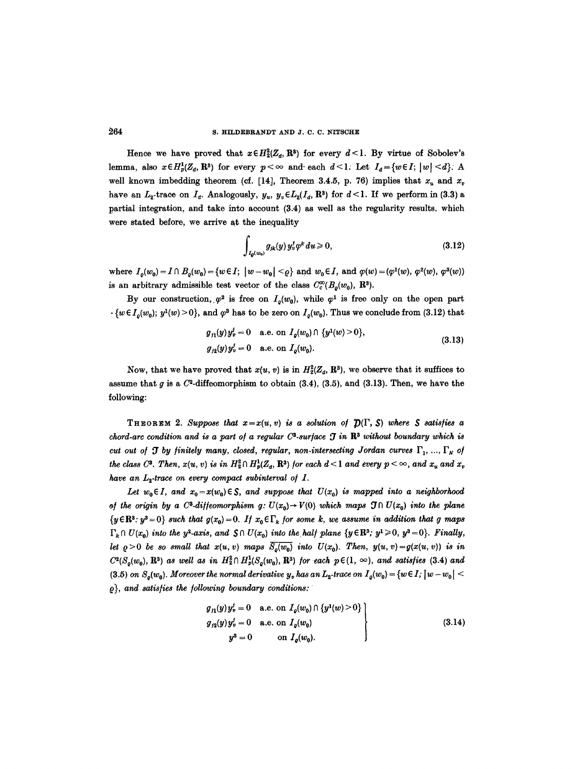Hence we have proved that  $x \in H_2^2(Z_\sigma, \mathbb{R}^3)$  for every  $d < l$ . By virtue of Sobolev's lemma, also  $x \in H_p^1(Z_d, \mathbb{R}^3)$  for every  $p < \infty$  and each  $d < l$ . Let  $I_d = \{w \in I; |w| < d\}$ . A well known imbedding theorem (cf. [14], Theorem 3.4.5, p. 76) implies that  $x_u$  and  $x_v$ have an  $L_2$ -trace on  $I_d$ . Analogously,  $y_u$ ,  $y_v \in L_2(I_d, \mathbb{R}^3)$  for  $d < l$ . If we perform in (3.3) a partial integration, and take into account (3.4) as well as the regularity results, which were stated before, we arrive at the inequality

$$
\int_{I_Q(w_0)} g_{jk}(y) y_v^j \varphi^k du \ge 0, \qquad (3.12)
$$

where  $I_o(w_0) = I \cap B_o(w_0) = \{w \in I; \ |w - w_0| \leq q\}$  and  $w_0 \in I$ , and  $\varphi(w) = (\varphi^1(w), \varphi^2(w), \varphi^3(w))$ is an arbitrary admissible test vector of the class  $C_c^{\infty}(B_o(w_0), \mathbb{R}^3)$ .

By our construction,  $\varphi^2$  is free on  $I_o(w_0)$ , while  $\varphi^1$  is free only on the open part  $\cdot \{w \in I_o(w_0); y^1(w) > 0\}$ , and  $\varphi^3$  has to be zero on  $I_o(w_0)$ . Thus we conclude from (3.12) that

$$
g_{j1}(y)y'_v = 0 \quad \text{a.e. on } I_q(w_0) \cap \{y^1(w) > 0\},
$$
  
\n
$$
g_{j2}(y)y'_v = 0 \quad \text{a.e. on } I_q(w_0).
$$
\n(3.13)

Now, that we have proved that  $x(u, v)$  is in  $H_2^2(\mathbb{Z}_d, \mathbb{R}^3)$ , we observe that it suffices to assume that g is a  $C^2$ -diffeomorphism to obtain  $(3.4)$ ,  $(3.5)$ , and  $(3.13)$ . Then, we have the following:

THEOREM 2. Suppose that  $x=x(u, v)$  is a solution of  $\mathcal{D}(\Gamma, S)$  where S satisfies a *chord-arc condition and is a part of a regular C<sup>3</sup>-surface*  $\mathcal{J}$  *in R<sup>3</sup> without boundary which is cut out of J by finitely many, closed, regular, non-intersecting Jordan curves*  $\Gamma_1, ..., \Gamma_N$  of *the class C*<sup>3</sup>. Then,  $x(u, v)$  is in  $H_2^2 \cap H_2^1(Z_d, \mathbb{R}^3)$  for each  $d < 1$  and every  $p < \infty$ , and  $x_u$  and  $x_v$ have an  $L_2$ -trace on every compact subinterval of  $I$ .

Let  $w_0 \in I$ , and  $x_0 = x(w_0) \in S$ , and suppose that  $U(x_0)$  is mapped into a neighborhood *af the origin by a C<sup>3</sup>-diffeomorphism g:*  $U(x_0) \rightarrow V(0)$  which maps  $\mathfrak{I} \cap U(x_0)$  into the plane  $\{y \in \mathbb{R}^3 : y^3 = 0\}$  *such that*  $g(x_0) = 0$ . If  $x_0 \in \Gamma_k$  for some k, we assume in addition that g maps  $\Gamma_k \cap U(x_0)$  into the y<sup>2</sup>-axis, and  $S \cap U(x_0)$  into the half plane  $\{y \in \mathbb{R}^3$ ;  $y^1 \geq 0, y^3 = 0\}$ . *Finally, let*  $\rho > 0$  *be so small that*  $x(u, v)$  maps  $\overline{S_o(w_0)}$  *into*  $U(x_0)$ . Then,  $y(u, v) = g(x(u, v))$  *is in*  $C^2(S_o(w_0), \mathbf{R}^3)$  as well as in  $H_2^2 \cap H_p^1(S_o(w_0), \mathbf{R}^3)$  *for each*  $p \in (1, \infty)$ *, and satisfies* (3.4) and (3.5) *on*  $S_o(w_0)$ . Moreover the normal derivative  $y_v$  has an  $L_2$ -trace on  $I_o(w_0) = \{w \in I; |w - w_0| <$  $\rho$ }, and satisfies the following boundary conditions:

$$
g_{j1}(y)y_v^j = 0 \quad \text{a.e. on } I_o(w_0) \cap \{y^1(w) > 0\} \n g_{j2}(y)y_v^j = 0 \quad \text{a.e. on } I_o(w_0) \n y^3 = 0 \qquad \text{on } I_o(w_0).
$$
\n(3.14)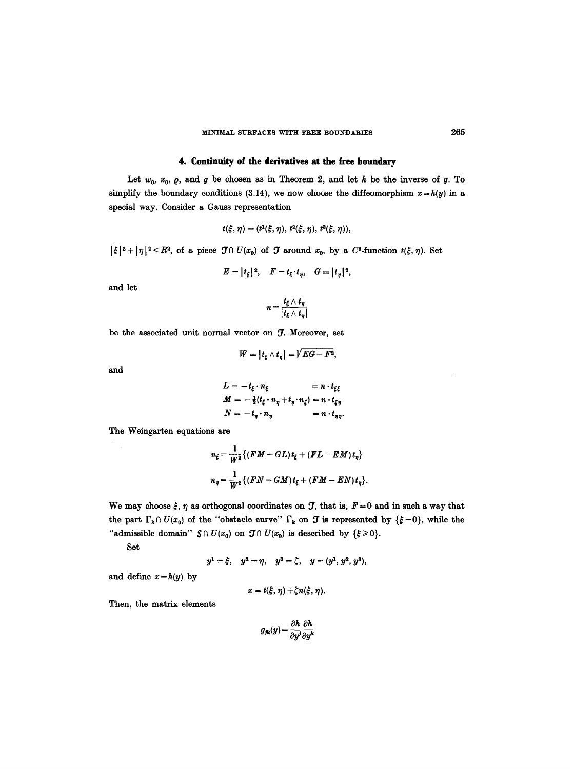## 4. Continuity of the derivatives **at the** tree boundary

Let  $w_0$ ,  $x_0$ ,  $\varrho$ , and  $g$  be chosen as in Theorem 2, and let  $h$  be the inverse of  $g$ . To simplify the boundary conditions (3.14), we now choose the diffeomorphism  $x=h(y)$  in a special way. Consider a Gauss representation

$$
t(\xi,\eta)=(t^{1}(\xi,\eta),\,t^{2}(\xi,\eta),\,t^{3}(\xi,\eta)),
$$

 $|\xi|^2+ |\eta|^2\leq R^2$ , of a piece  $\mathcal{J}\cap U(x_0)$  of  $\mathcal J$  around  $x_0$ , by a  $C^3$ -function  $t(\xi,\eta)$ . Set

$$
E = |t_{\xi}|^2, \quad F = t_{\xi} \cdot t_{\eta}, \quad G = |t_{\eta}|^2,
$$

and let

$$
n=\frac{t_{\xi}\wedge t_{\eta}}{|t_{\xi}\wedge t_{\eta}|}
$$

be the associated unit normal vector on 7. Moreover, set

$$
W=|t_{\xi}\wedge t_{\eta}|=\sqrt{EG-F^2},
$$

and

$$
L = -t_{\xi} \cdot n_{\xi} = n \cdot t_{\xi\xi}
$$
  

$$
M = -\frac{1}{2}(t_{\xi} \cdot n_{\eta} + t_{\eta} \cdot n_{\xi}) = n \cdot t_{\xi\eta}
$$
  

$$
N = -t_{\eta} \cdot n_{\eta} = n \cdot t_{\eta\eta}.
$$

The Weingarten equations are

$$
n_{\xi} = \frac{1}{W^2} \left\{ (FM - GL) t_{\xi} + (FL - EM) t_{\eta} \right\}
$$
  

$$
n_{\eta} = \frac{1}{W^2} \left\{ (FN - GM) t_{\xi} + (FM - EN) t_{\eta} \right\}.
$$

We may choose  $\xi$ ,  $\eta$  as orthogonal coordinates on  $\mathcal{J}$ , that is,  $F = 0$  and in such a way that the part  $\Gamma_k \cap U(x_0)$  of the "obstacle curve"  $\Gamma_k$  on  $\mathcal T$  is represented by  $\{\xi=0\}$ , while the "admissible domain"  $S \cap U(x_0)$  on  $\mathcal{T} \cap U(x_0)$  is described by  $\{\xi \geq 0\}.$ 

Set

$$
y^1 = \xi
$$
,  $y^2 = \eta$ ,  $y^3 = \zeta$ ,  $y = (y^1, y^2, y^3)$ ,

and define  $x = h(y)$  by

$$
x=t(\xi,\eta)+\zeta n(\xi,\eta).
$$

Then, the matrix elements

$$
g_{jk}(y) = \frac{\partial h}{\partial y^j} \frac{\partial h}{\partial y^k}
$$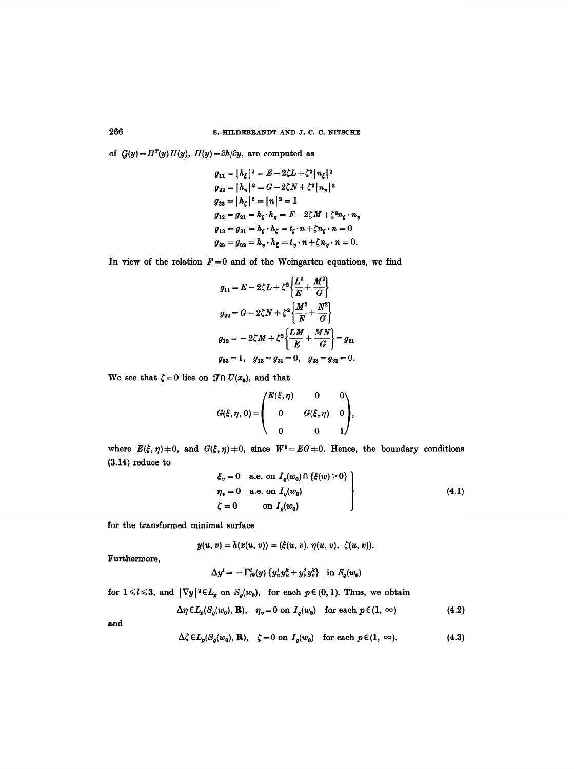of  $G(y) = H^T(y)H(y)$ ,  $H(y) = \partial h/\partial y$ , are computed as

$$
g_{11} = |h_{\xi}|^2 = E - 2\zeta L + \zeta^2 |n_{\xi}|^2
$$
  
\n
$$
g_{22} = |h_{\eta}|^2 = G - 2\zeta N + \zeta^2 |n_{\eta}|^2
$$
  
\n
$$
g_{33} = |h_{\zeta}|^2 = |n|^2 = 1
$$
  
\n
$$
g_{12} = g_{21} = h_{\xi} \cdot h_{\eta} = F - 2\zeta M + \zeta^2 n_{\xi} \cdot n_{\eta}
$$
  
\n
$$
g_{13} = g_{31} = h_{\xi} \cdot h_{\zeta} = t_{\xi} \cdot n + \zeta n_{\xi} \cdot n = 0
$$
  
\n
$$
g_{23} = g_{32} = h_{\eta} \cdot h_{\zeta} = t_{\eta} \cdot n + \zeta n_{\eta} \cdot n = 0.
$$

In view of the relation  $F=0$  and of the Weingarten equations, we find

$$
g_{11} = E - 2\zeta L + \zeta^2 \left\{ \frac{L^2}{E} + \frac{M^2}{G} \right\}
$$
  
\n
$$
g_{22} = G - 2\zeta N + \zeta^2 \left\{ \frac{M^2}{E} + \frac{N^2}{G} \right\}
$$
  
\n
$$
g_{12} = -2\zeta M + \zeta^2 \left\{ \frac{LM}{E} + \frac{MN}{G} \right\} = g_{21}
$$
  
\n
$$
g_{33} = 1, \quad g_{13} = g_{31} = 0, \quad g_{23} = g_{32} = 0.
$$

We see that  $\zeta = 0$  lies on  $\mathcal{J} \cap U(x_0)$ , and that

$$
G(\xi, \eta, 0) = \begin{pmatrix} E(\xi, \eta) & 0 & 0 \\ 0 & G(\xi, \eta) & 0 \\ 0 & 0 & 1 \end{pmatrix},
$$

where  $E(\xi, \eta) \neq 0$ , and  $G(\xi, \eta) \neq 0$ , since  $W^2 = EG + 0$ . Hence, the boundary conditions (3.14) reduce to

$$
\begin{aligned}\n\xi_v &= 0 \quad \text{a.e. on } I_q(w_0) \cap \{\xi(w) > 0\} \\
\eta_v &= 0 \quad \text{a.e. on } I_q(w_0) \\
\zeta &= 0 \quad \text{on } I_q(w_0)\n\end{aligned}\n\tag{4.1}
$$

for the transformed minimal surface

$$
y(u, v) = h(x(u, v)) = (\xi(u, v), \eta(u, v), \zeta(u, v)).
$$

Furthermore,

$$
\Delta y^l = -\Gamma^l_{jk}(y) \left\{ y^l_u y^k_u + y^l_v y^k_v \right\} \text{ in } S_q(w_0)
$$

for  $1 \le l \le 3$ , and  $|\nabla y|^2 \in L_p$  on  $S_q(w_0)$ , for each  $p \in (0, 1)$ . Thus, we obtain

$$
\Delta \eta \in L_p(S_q(w_0), R), \quad \eta_v = 0 \text{ on } I_q(w_0) \quad \text{for each } p \in (1, \infty)
$$
 (4.2)

and

$$
\Delta \zeta \in L_p(S_q(w_0), \mathbf{R}), \quad \zeta = 0 \text{ on } I_q(w_0) \quad \text{for each } p \in (1, \infty).
$$
 (4.3)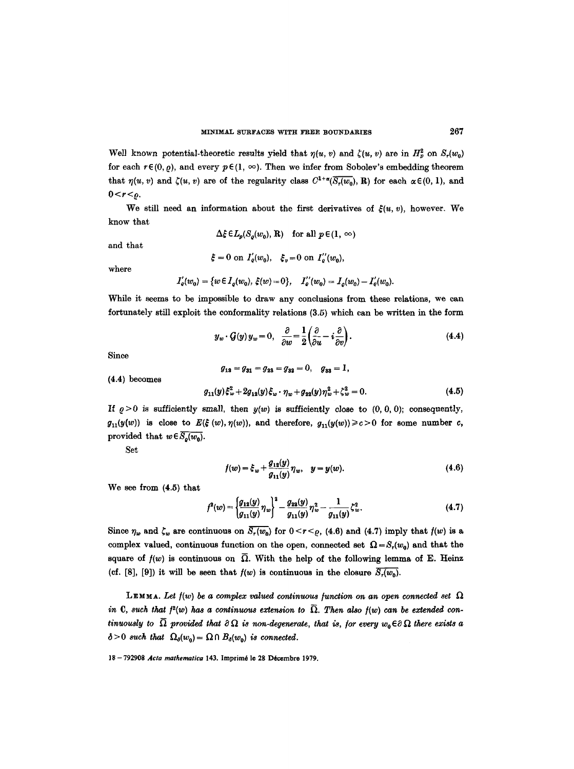Well known potential-theoretic results yield that  $\eta(u, v)$  and  $\zeta(u, v)$  are in  $H_p^2$  on  $S_r(w_0)$ for each  $r \in (0, \rho)$ , and every  $p \in (1, \infty)$ . Then we infer from Sobolev's embedding theorem that  $\eta(u, v)$  and  $\zeta(u, v)$  are of the regularity class  $C^{1+\alpha}(\overline{S_r(w_0)}, \mathbf{R})$  for each  $\alpha \in (0, 1)$ , and  $0 < r < \rho$ .

We still need an information about the first derivatives of  $\xi(u, v)$ , however. We know that

$$
\Delta \xi \in L_p(S_o(w_0), R) \quad \text{for all } p \in (1, \infty)
$$

and that

$$
\xi = 0
$$
 on  $I'_e(w_0)$ ,  $\xi_v = 0$  on  $I''_e(w_0)$ ,

where

$$
I'_{\varrho}(w_0) = \{ w \in I_{\varrho}(w_0), \ \xi(w) = 0 \}, \quad I''_{\varrho}(w_0) = I_{\varrho}(w_0) - I'_{\varrho}(w_0).
$$

While it seems to be impossible to draw any conclusions from these relations, we can fortunately still exploit the conformality relations (3.5) which can be written in the form

$$
y_w \cdot \mathcal{G}(y) \, y_w = 0, \quad \frac{\partial}{\partial w} = \frac{1}{2} \left( \frac{\partial}{\partial u} - i \frac{\partial}{\partial v} \right). \tag{4.4}
$$

Since

$$
g_{13} = g_{31} = g_{23} = g_{32} = 0, \quad g_{33} = 1,
$$
  

$$
g_{11}(y)\xi_w^2 + 2g_{12}(y)\xi_w \cdot \eta_w + g_{22}(y)\eta_w^2 + \zeta_w^2 = 0.
$$
 (4.5)

If  $\rho > 0$  is sufficiently small, then  $y(w)$  is sufficiently close to  $(0, 0, 0)$ ; consequently,  $g_{11}(y(w))$  is close to  $E(\xi(w), \eta(w))$ , and therefore,  $g_{11}(y(w)) \ge c > 0$  for some number c, provided that  $w \in \overline{S_n(w_0)}$ .

Set

(4.4) becomes

$$
f(w) = \xi_w + \frac{g_{13}(y)}{g_{11}(y)} \eta_w, \quad y = y(w).
$$
 (4.6)

We see from (4.5) that

$$
f^{2}(w) = \left\{\frac{g_{12}(y)}{g_{11}(y)}\eta_{w}\right\}^{2} - \frac{g_{22}(y)}{g_{11}(y)}\eta_{w}^{2} - \frac{1}{g_{11}(y)}\zeta_{w}^{2}.
$$
 (4.7)

Since  $\eta_w$  and  $\zeta_w$  are continuous on  $\overline{S_r(w_0)}$  for  $0 < r < \rho$ , (4.6) and (4.7) imply that  $f(w)$  is a complex valued, continuous function on the open, connected set  $\Omega = S_r(w_0)$  and that the square of  $f(w)$  is continuous on  $\overline{\Omega}$ . With the help of the following lemma of E. Heinz (cf. [8], [9]) it will be seen that  $f(w)$  is continuous in the closure  $\overline{S_r(w_0)}$ .

LEMMA. Let  $f(w)$  be a complex valued continuous function on an open connected set  $\Omega$ *in C, such that*  $f^2(w)$  *has a continuous extension to*  $\overline{\Omega}$ *. Then also*  $f(w)$  *can be extended continuously to*  $\overline{\Omega}$  provided that  $\partial \Omega$  is non-degenerate, that is, for every  $w_0 \in \partial \Omega$  there exists a  $\delta > 0$  such that  $\Omega_{\delta}(w_0) = \Omega \cap B_{\delta}(w_0)$  is connected.

18 -792908 *Acta mathematica* 143. lmprim6 le 28 D6cembre 1979.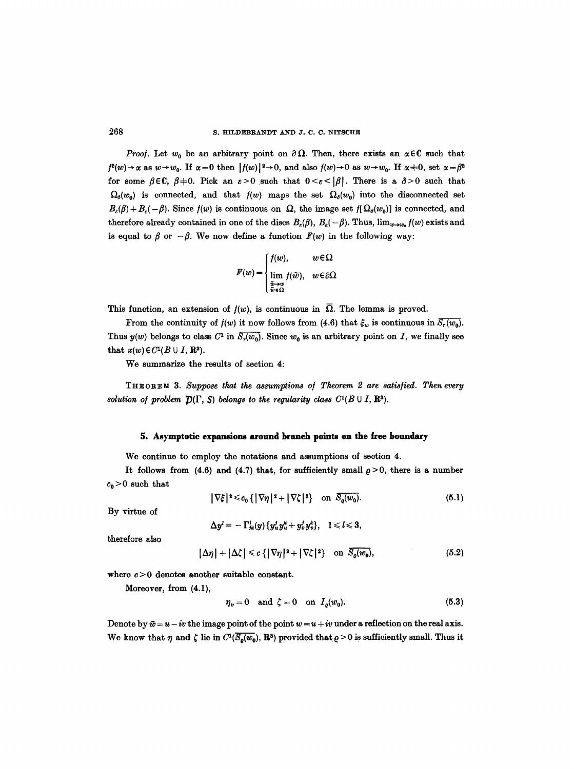*Proof.* Let  $w_0$  be an arbitrary point on  $\partial \Omega$ . Then, there exists an  $\alpha \in \mathbb{C}$  such that  $f^2(w) \rightarrow \alpha$  as  $w \rightarrow w_0$ . If  $\alpha = 0$  then  $|f(w)|^2 \rightarrow 0$ , and also  $f(w) \rightarrow 0$  as  $w \rightarrow w_0$ . If  $\alpha = 0$ , set  $\alpha = \beta^2$ for some  $\beta \in \mathbb{C}$ ,  $\beta = 0$ . Pick an  $\varepsilon > 0$  such that  $0 < \varepsilon < |\beta|$ . There is a  $\delta > 0$  such that  $\Omega_{\delta}(w_0)$  is connected, and that  $f(w)$  maps the set  $\Omega_{\delta}(w_0)$  into the disconnected set  $B_{\varepsilon}(\beta) + B_{\varepsilon}(-\beta)$ . Since  $f(w)$  is continuous on  $\Omega$ , the image set  $f[\Omega_{\delta}(w_0)]$  is connected, and therefore already contained in one of the discs  $B_s(\beta)$ ,  $B_s(-\beta)$ . Thus,  $\lim_{w\to w_0} f(w)$  exists and is equal to  $\beta$  or  $-\beta$ . We now define a function  $F(w)$  in the following way:

$$
F(w) = \begin{cases} f(w), & w \in \Omega \\ \lim_{\substack{\tilde{w} \to w \\ \tilde{w} \in \Omega}} f(\tilde{w}), & w \in \partial\Omega \end{cases}
$$

This function, an extension of  $f(w)$ , is continuous in  $\overline{\Omega}$ . The lemma is proved.

From the continuity of  $f(w)$  it now follows from (4.6) that  $\xi_w$  is continuous in  $\overline{S_r(w_0)}$ . Thus  $y(w)$  belongs to class  $C^1$  in  $\overline{S_r(w_0)}$ . Since  $w_0$  is an arbitrary point on I, we finally see that  $x(w) \in C^1(B \cup I, \mathbb{R}^3)$ .

We summarize the results of section 4:

THEOREM 3. *Suppose that the assumptions o/ Theorem 2 are satls/ied. Then every solution of problem*  $\mathcal{D}(\Gamma, S)$  *belongs to the regularity class C<sup>1</sup>(B*  $\cup$  *I, R<sup>3</sup>).* 

## **5. Asymptotic expansions around branch points on the free boundary**

We continue to employ the notations and assumptions of section 4.

It follows from (4.6) and (4.7) that, for sufficiently small  $\rho > 0$ , there is a number  $c_0 > 0$  such that

$$
|\nabla \xi|^{2} \leq c_{0} \{ |\nabla \eta|^{2} + |\nabla \zeta|^{2} \} \quad \text{on } \overline{S_{0}(w_{0})}.
$$
 (5.1)

By virtue of

$$
\Delta y^l=-\Gamma^l_{jk}(y)\{y^l_uy^k_u+y^l_vy^k_v\},\quad l\leqslant l\leqslant 3,
$$

therefore also

$$
|\Delta \eta| + |\Delta \zeta| \leq c \{ |\nabla \eta|^2 + |\nabla \zeta|^2 \} \quad \text{on } \overline{S_{\varrho}(w_0)}, \tag{5.2}
$$

where  $c > 0$  denotes another suitable constant.

Moreover, from (4.1),

$$
\eta_v = 0 \quad \text{and} \quad \zeta = 0 \quad \text{on} \quad I_o(w_0). \tag{5.3}
$$

Denote by  $\bar{w} = u - iv$  the image point of the point  $w = u + iv$  under a reflection on the real axis. We know that  $\eta$  and  $\zeta$  lie in  $C^1(\overline{S_o(w_0)}, \mathbb{R}^3)$  provided that  $\rho > 0$  is sufficiently small. Thus it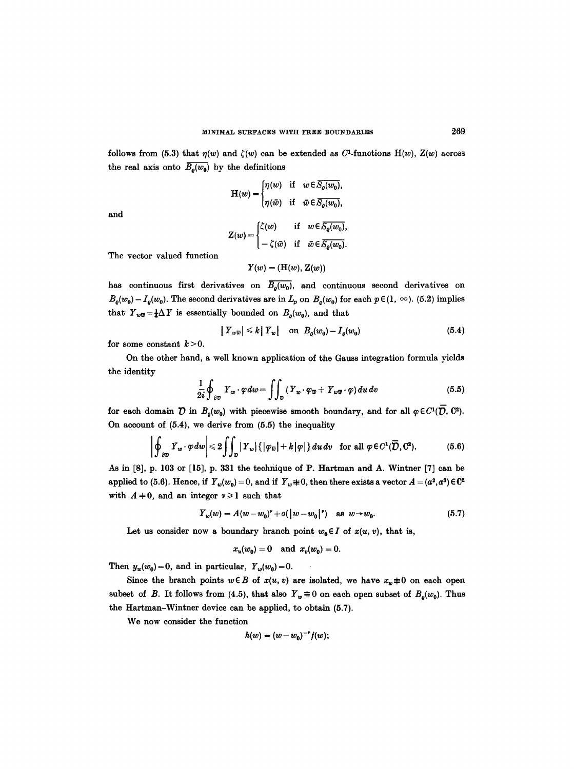follows from (5.3) that  $\eta(w)$  and  $\zeta(w)$  can be extended as  $C^1$ -functions  $H(w)$ ,  $Z(w)$  across the real axis onto  $\overline{B_o(w_0)}$  by the definitions

and

$$
H(w) = \begin{cases} \eta(w) & \text{if } w \in S_0(w_0), \\ \eta(\bar{w}) & \text{if } \bar{w} \in \overline{S_0(w_0)}, \end{cases}
$$

$$
Z(w) = \begin{cases} \zeta(w) & \text{if } w \in \overline{S_0(w_0)}, \\ -\zeta(\bar{w}) & \text{if } \bar{w} \in \overline{S_0(w_0)}. \end{cases}
$$

The vector valued function

 $Y(w) = (H(w), Z(w))$ 

has continuous first derivatives on  $\overline{B_o(w_0)}$ , and continuous second derivatives on  $B<sub>0</sub>(w<sub>0</sub>) - I<sub>0</sub>(w<sub>0</sub>)$ . The second derivatives are in  $L_p$  on  $B<sub>0</sub>(w<sub>0</sub>)$  for each  $p \in (1, \infty)$ . (5.2) implies that  $Y_{w\overline{w}} = \frac{1}{4}\Delta Y$  is essentially bounded on  $B_o(w_0)$ , and that

$$
|Y_{w\overline{w}}| \leq k |Y_w| \quad \text{on} \ \ B_0(w_0) - I_0(w_0) \tag{5.4}
$$

for some constant  $k > 0$ .

On the other hand, a well known application of the Gauss integration formula yields the identity

$$
\frac{1}{2i}\oint_{\partial D}Y_w \cdot \varphi dw = \iint_D \left(Y_w \cdot \varphi_{\overline{w}} + Y_{w\overline{w}} \cdot \varphi\right) du dv \tag{5.5}
$$

for each domain  $\mathcal D$  in  $B_o(w_0)$  with piecewise smooth boundary, and for all  $\varphi \in C^1(\overline{\mathcal D}, \mathbb C^2)$ . On account of  $(5.4)$ , we derive from  $(5.5)$  the inequality

$$
\left|\oint_{\partial \mathcal{D}} Y_w \cdot \varphi \, dw \right| \leq 2 \iint_{\mathcal{D}} |Y_w| \left\{ |\varphi_v| + k |\varphi| \right\} du \, dv \quad \text{for all } \varphi \in C^1(\overline{D}, \mathbb{C}^2). \tag{5.6}
$$

As in [8]. p. 103 or [15]. p. 331 the technique of P. Hartman and A. Wintner [7] can be applied to (5.6). Hence, if  $Y_w(w_0) = 0$ , and if  $Y_w \neq 0$ , then there exists a vector  $A = (a^2, a^3) \in \mathbb{C}^2$ with  $A + 0$ , and an integer  $\nu \ge 1$  such that

$$
Y_w(w) = A(w - w_0)^* + o(|w - w_0|^*) \quad \text{as } w \to w_0. \tag{5.7}
$$

Let us consider now a boundary branch point  $w_0 \in I$  of  $x(u, v)$ , that is,

$$
x_u(w_0) = 0
$$
 and  $x_v(w_0) = 0$ .

Then  $y_w(w_0)=0$ , and in particular,  $Y_w(w_0)=0$ .

Since the branch points  $w \in B$  of  $x(u, v)$  are isolated, we have  $x_w \neq 0$  on each open subset of *B*. It follows from (4.5), that also  $Y_w \not\equiv 0$  on each open subset of  $B_o(w_0)$ . Thus the Hartman-Wintner device can be applied, to obtain (5.7).

We now consider the function

$$
h(w)=(w-w_0)^{-\nu}f(w);
$$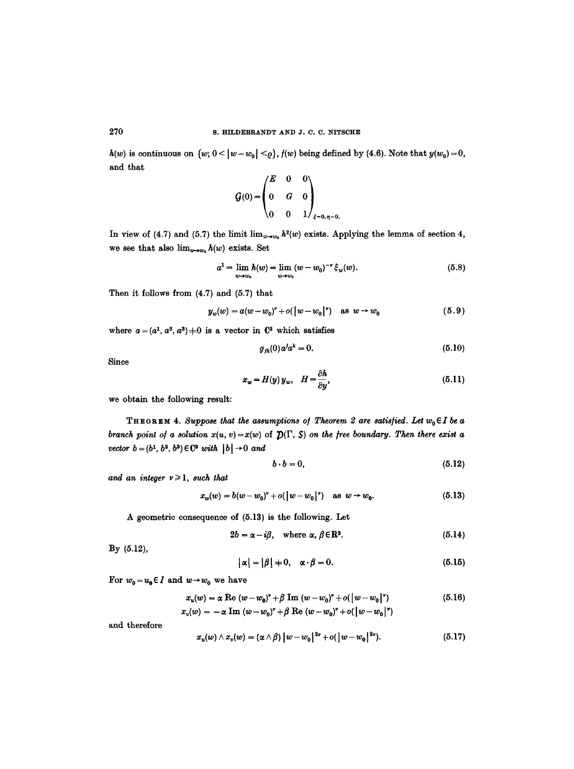$h(w)$  is continuous on  $\{w; 0 \leq |w - w_0| \leq \varrho\}$ ,  $f(w)$  being defined by (4.6). Note that  $y(w_0) = 0$ , and that

$$
G(0) = \begin{pmatrix} E & 0 & 0 \\ 0 & G & 0 \\ 0 & 0 & 1 \end{pmatrix}_{\xi=0, \eta=0.}
$$

In view of (4.7) and (5.7) the limit  $\lim_{w\to w_0} h^2(w)$  exists. Applying the lemma of section 4, we see that also  $\lim_{w\to w_0} h(w)$  exists. Set

$$
a^{1} = \lim_{w \to w_{0}} h(w) = \lim_{w \to w_{0}} (w - w_{0})^{-\nu} \xi_{w}(w).
$$
 (5.8)

Then it follows from (4.7) and (5.7) that

$$
y_w(w) = a(w - w_0)^v + o(|w - w_0|^v) \quad \text{as } w \to w_0 \tag{5.9}
$$

where  $a = (a^1, a^2, a^3) \pm 0$  is a vector in  $\mathbb{C}^3$  which satisfies

$$
g_{jk}(0)a^{j}a^{k} = 0.
$$
 (5.10)

Since

$$
x_w = H(y) y_w, \quad H = \frac{\partial h}{\partial y}, \tag{5.11}
$$

we obtain the following result:

THEOREM 4. Suppose that the assumptions of Theorem 2 are satisfied. Let  $w_0 \in I$  be a *branch point of a solution*  $x(u, v) = x(w)$  of  $\mathcal{D}(\Gamma, S)$  *on the free boundary. Then there exist a vector*  $b = (b^1, b^2, b^3) \in \mathbb{C}^3$  *with*  $|b| \to 0$  *and* 

$$
b \cdot b = 0, \tag{5.12}
$$

*and an integer*  $\nu \ge 1$ *, such that* 

$$
x_w(w) = b(w - w_0)^* + o(|w - w_0|^*) \quad \text{as } w \to w_0. \tag{5.13}
$$

A geometric consequence of (5.13) is the following. Let

$$
2b = \alpha - i\beta, \quad \text{where } \alpha, \beta \in \mathbb{R}^3. \tag{5.14}
$$

By (5.12),

$$
|\alpha| = |\beta| + 0, \quad \alpha \cdot \beta = 0. \tag{5.15}
$$

For  $w_0 = u_0 \in I$  and  $w \to w_0$  we have

$$
x_u(w) = \alpha \text{ Re } (w - w_0)^{\nu} + \beta \text{ Im } (w - w_0)^{\nu} + o(|w - w_0|^{\nu})
$$
(5.16)  

$$
x_v(w) = -\alpha \text{ Im } (w - w_0)^{\nu} + \beta \text{ Re } (w - w_0)^{\nu} + o(|w - w_0|^{\nu})
$$

and therefore

$$
x_u(w) \wedge x_v(w) = (\alpha \wedge \beta) |w - w_0|^{2\nu} + o(|w - w_0|^{2\nu}). \tag{5.17}
$$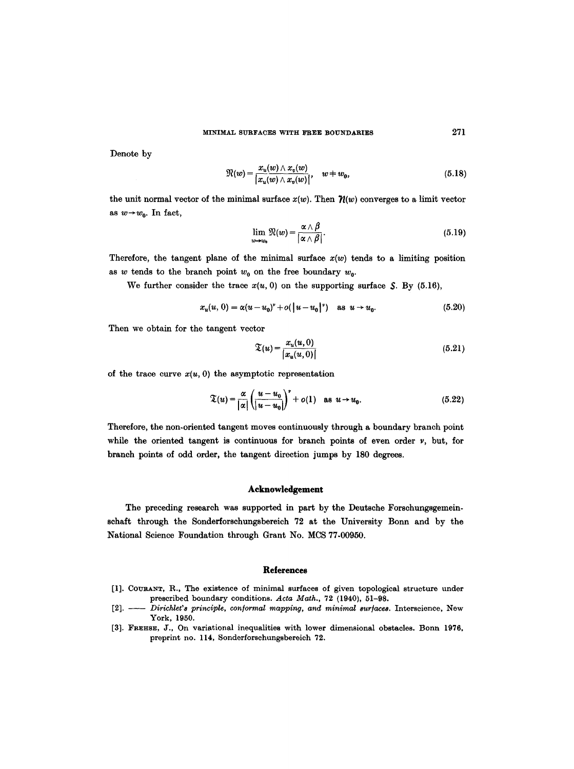Denote by

$$
\mathfrak{R}(w) = \frac{x_u(w) \wedge x_v(w)}{|x_u(w) \wedge x_v(w)|}, \quad w \neq w_0,
$$
\n(5.18)

the unit normal vector of the minimal surface  $x(w)$ . Then  $\mathcal{H}(w)$  converges to a limit vector as  $w \rightarrow w_0$ . In fact,

$$
\lim_{w\to w_0}\Re(w)=\frac{\alpha\wedge\beta}{|\alpha\wedge\beta|}.
$$
\n(5.19)

Therefore, the tangent plane of the minimal surface  $x(w)$  tends to a limiting position as w tends to the branch point  $w_0$  on the free boundary  $w_0$ .

We further consider the trace  $x(u, 0)$  on the supporting surface  $S$ . By (5.16),

$$
x_u(u, 0) = \alpha (u - u_0)^{\nu} + o(|u - u_0|^{\nu}) \quad \text{as } u \to u_0. \tag{5.20}
$$

Then we obtain for the tangent vector

$$
\mathfrak{T}(u) = \frac{x_u(u,0)}{|x_u(u,0)|} \tag{5.21}
$$

of the trace curve  $x(u, 0)$  the asymptotic representation

$$
\mathfrak{T}(u) = \frac{\alpha}{|\alpha|} \left( \frac{u - u_0}{|u - u_0|} \right)^{\nu} + o(1) \quad \text{as } u \to u_0. \tag{5.22}
$$

Therefore, the non-oriented tangent moves continuously through a boundary branch point while the oriented tangent is continuous for branch points of even order  $\nu$ , but, for branch points of odd order, the tangent direction jumps by 180 degrees.

### **Acknowledgement**

The preceding research was supported in part by the Deutsche Forschungsgemeinschaft through the Sonderforschungsbereich 72 at the University Bonn and by the National Science Foundation through Grant No. MCS 77.00950.

#### **References**

- [1]. COURANT, R., The existence of minimal surfaces of given topological structure under prescribed boundary conditions. *Acta Math.,* 72 (1940), 51-98.
- [2]. -- *DirichleFs principle, con/ormal mapping, and minimal sur/aces.* Interscience, New York, 1950.
- [3]. FREHSE, J., On variational inequalities with lower dimensional obstacles. Bonn 1976, preprint no. 114, Sonderforschungsbereich 72.